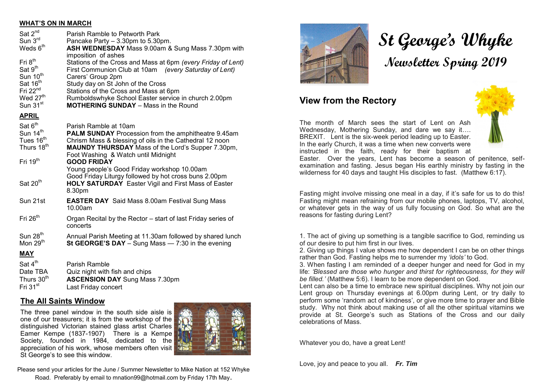#### **WHAT'S ON IN MARCH**

| Sat 2 <sup>nd</sup><br>Sun $3^{\text{rd}}$<br>Weds 6 <sup>th</sup><br>Fri 8 <sup>th</sup><br>Sat 9 <sup>th</sup><br>Sun 10 <sup>th</sup><br>Sat 16 <sup>th</sup><br>Fri $22nd$<br>Wed 27 <sup>th</sup><br>Sun $31st$ | Parish Ramble to Petworth Park<br>Pancake Party - 3.30pm to 5.30pm.<br>ASH WEDNESDAY Mass 9.00am & Sung Mass 7.30pm with<br>imposition of ashes<br>Stations of the Cross and Mass at 6pm (every Friday of Lent)<br>First Communion Club at 10am (every Saturday of Lent)<br>Carers' Group 2pm<br>Study day on St John of the Cross<br>Stations of the Cross and Mass at 6pm<br>Rumboldswhyke School Easter service in church 2.00pm<br><b>MOTHERING SUNDAY</b> - Mass in the Round |
|----------------------------------------------------------------------------------------------------------------------------------------------------------------------------------------------------------------------|------------------------------------------------------------------------------------------------------------------------------------------------------------------------------------------------------------------------------------------------------------------------------------------------------------------------------------------------------------------------------------------------------------------------------------------------------------------------------------|
|                                                                                                                                                                                                                      |                                                                                                                                                                                                                                                                                                                                                                                                                                                                                    |
| <b>APRIL</b>                                                                                                                                                                                                         |                                                                                                                                                                                                                                                                                                                                                                                                                                                                                    |
| Sat 6 <sup>th</sup><br>Sun 14 <sup>th</sup><br>Tues 16 <sup>th</sup><br>Thurs 18 <sup>th</sup>                                                                                                                       | Parish Ramble at 10am<br><b>PALM SUNDAY</b> Procession from the amphitheatre 9.45am<br>Chrism Mass & blessing of oils in the Cathedral 12 noon<br><b>MAUNDY THURSDAY</b> Mass of the Lord's Supper 7.30pm,<br>Foot Washing & Watch until Midnight                                                                                                                                                                                                                                  |
| Fri $19th$                                                                                                                                                                                                           | <b>GOOD FRIDAY</b><br>Young people's Good Friday workshop 10.00am                                                                                                                                                                                                                                                                                                                                                                                                                  |
| Sat 20 <sup>th</sup>                                                                                                                                                                                                 | Good Friday Liturgy followed by hot cross buns 2.00pm<br><b>HOLY SATURDAY</b> Easter Vigil and First Mass of Easter<br>8.30pm                                                                                                                                                                                                                                                                                                                                                      |
| Sun 21st                                                                                                                                                                                                             | <b>EASTER DAY</b> Said Mass 8.00am Festival Sung Mass<br>10.00am                                                                                                                                                                                                                                                                                                                                                                                                                   |
| Fri $26th$                                                                                                                                                                                                           | Organ Recital by the Rector - start of last Friday series of<br>concerts                                                                                                                                                                                                                                                                                                                                                                                                           |
| Sun 28 <sup>th</sup><br>Mon 29 <sup>th</sup>                                                                                                                                                                         | Annual Parish Meeting at 11.30am followed by shared lunch<br>St GEORGE'S DAY - Sung Mass - 7:30 in the evening                                                                                                                                                                                                                                                                                                                                                                     |
| <b>MAY</b>                                                                                                                                                                                                           |                                                                                                                                                                                                                                                                                                                                                                                                                                                                                    |
| Sat 4 <sup>th</sup><br>TRA TRA                                                                                                                                                                                       | Parish Ramble<br>Ouiz night with fish and chins                                                                                                                                                                                                                                                                                                                                                                                                                                    |

| Date TBA                | Quiz night with fish and chips        |
|-------------------------|---------------------------------------|
| Thurs 30 <sup>th</sup>  | <b>ASCENSION DAY Sung Mass 7.30pm</b> |
| Fri 31 $\mathrm{^{st}}$ | Last Friday concert                   |

#### **The All Saints Window**

The three panel window in the south side aisle is one of our treasurers; it is from the workshop of the distinguished Victorian stained glass artist Charles Eamer Kempe (1837-1907) There is a Kempe Society, founded in 1984, dedicated to the appreciation of his work, whose members often visit St George's to see this window.



Please send your articles for the June / Summer Newsletter to Mike Nation at 152 Whyke Road. Preferably by email to mnation99@hotmail.com by Friday 17th May.



# **St George's Whyke Newsletter Spring 2019**

# **View from the Rectory**

The month of March sees the start of Lent on Ash Wednesday, Mothering Sunday, and dare we say it…. BREXIT. Lent is the six-week period leading up to Easter. In the early Church, it was a time when new converts were instructed in the faith, ready for their baptism at



Easter. Over the years, Lent has become a season of penitence, selfexamination and fasting. Jesus began His earthly ministry by fasting in the wilderness for 40 days and taught His disciples to fast. (Matthew 6:17).

Fasting might involve missing one meal in a day, if it's safe for us to do this! Fasting might mean refraining from our mobile phones, laptops, TV, alcohol, or whatever gets in the way of us fully focusing on God. So what are the reasons for fasting during Lent?

1. The act of giving up something is a tangible sacrifice to God, reminding us of our desire to put him first in our lives.

2. Giving up things I value shows me how dependent I can be on other things rather than God. Fasting helps me to surrender my *'idols'* to God.

3. When fasting I am reminded of a deeper hunger and need for God in my life: *'Blessed are those who hunger and thirst for righteousness, for they will be filled.'* (Matthew 5:6). I learn to be more dependent on God.

Lent can also be a time to embrace new spiritual disciplines. Why not join our Lent group on Thursday evenings at 6.00pm during Lent, or try daily to perform some 'random act of kindness', or give more time to prayer and Bible study. Why not think about making use of all the other spiritual vitamins we provide at St. George's such as Stations of the Cross and our daily celebrations of Mass.

Whatever you do, have a great Lent!

Love, joy and peace to you all. *Fr. Tim*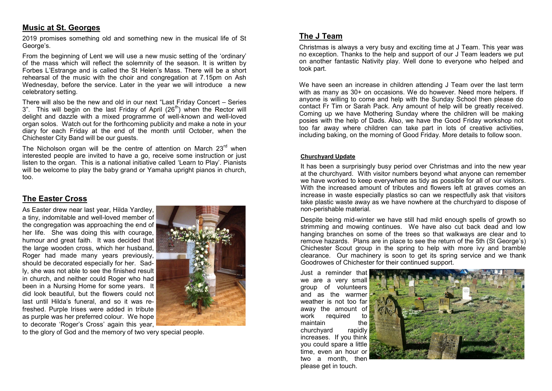#### **Music at St. Georges**

2019 promises something old and something new in the musical life of St George's.

From the beginning of Lent we will use a new music setting of the 'ordinary' of the mass which will reflect the solemnity of the season. It is written by Forbes L'Estrange and is called the St Helen's Mass. There will be a short rehearsal of the music with the choir and congregation at 7.15pm on Ash Wednesday, before the service. Later in the year we will introduce a new celebratory setting.

There will also be the new and old in our next "Last Friday Concert – Series 3". This will begin on the last Friday of April  $(26<sup>th</sup>)$  when the Rector will delight and dazzle with a mixed programme of well-known and well-loved organ solos. Watch out for the forthcoming publicity and make a note in your diary for each Friday at the end of the month until October, when the Chichester City Band will be our guests.

The Nicholson organ will be the centre of attention on March  $23<sup>rd</sup>$  when interested people are invited to have a go, receive some instruction or just listen to the organ. This is a national initiative called 'Learn to Play'. Pianists will be welcome to play the baby grand or Yamaha upright pianos in church, too.

## **The Easter Cross**

As Easter drew near last year, Hilda Yardley, a tiny, indomitable and well-loved member of the congregation was approaching the end of her life. She was doing this with courage, humour and great faith. It was decided that the large wooden cross, which her husband, Roger had made many years previously, should be decorated especially for her. Sadly, she was not able to see the finished result in church, and neither could Roger who had been in a Nursing Home for some years. It did look beautiful, but the flowers could not last until Hilda's funeral, and so it was refreshed. Purple Irises were added in tribute as purple was her preferred colour. We hope to decorate 'Roger's Cross' again this year,



to the glory of God and the memory of two very special people.

## **The J Team**

Christmas is always a very busy and exciting time at J Team. This year was no exception. Thanks to the help and support of our J Team leaders we put on another fantastic Nativity play. Well done to everyone who helped and took part.

We have seen an increase in children attending J Team over the last term with as many as 30+ on occasions. We do however. Need more helpers. If anyone is willing to come and help with the Sunday School then please do contact Fr Tim or Sarah Pack. Any amount of help will be greatly received. Coming up we have Mothering Sunday where the children will be making posies with the help of Dads. Also, we have the Good Friday workshop not too far away where children can take part in lots of creative activities, including baking, on the morning of Good Friday. More details to follow soon.

#### **Churchyard Update**

It has been a surprisingly busy period over Christmas and into the new year at the churchyard. With visitor numbers beyond what anyone can remember we have worked to keep everywhere as tidy as possible for all of our visitors. With the increased amount of tributes and flowers left at graves comes an increase in waste especially plastics so can we respectfully ask that visitors take plastic waste away as we have nowhere at the churchyard to dispose of non-perishable material.

Despite being mid-winter we have still had mild enough spells of growth so strimming and mowing continues. We have also cut back dead and low hanging branches on some of the trees so that walkways are clear and to remove hazards. Plans are in place to see the return of the 5th (St George's) Chichester Scout group in the spring to help with more ivy and bramble clearance. Our machinery is soon to get its spring service and we thank Goodrowes of Chichester for their continued support.

Just a reminder that we are a very small group of volunteers and as the warmer weather is not too far away the amount of work required to maintain the churchyard rapidly increases. If you think you could spare a little time, even an hour or two a month, then please get in touch.

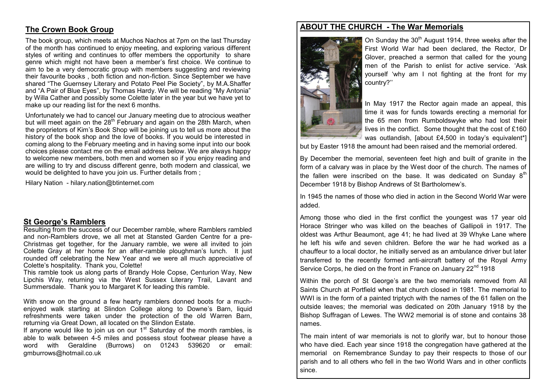# **The Crown Book Group**

The book group, which meets at Muchos Nachos at 7pm on the last Thursday of the month has continued to enjoy meeting, and exploring various different styles of writing and continues to offer members the opportunity to share genre which might not have been a member's first choice. We continue to aim to be a very democratic group with members suggesting and reviewing their favourite books , both fiction and non-fiction. Since September we have shared "The Guernsey Literary and Potato Peel Pie Society", by M.A.Shaffer and "A Pair of Blue Eyes", by Thomas Hardy. We will be reading "My Antonia" by Willa Cather and possibly some Colette later in the year but we have yet to make up our reading list for the next 6 months.

Unfortunately we had to cancel our January meeting due to atrocious weather but will meet again on the 28<sup>th</sup> February and again on the 28th March, when the proprietors of Kim's Book Shop will be joining us to tell us more about the history of the book shop and the love of books. If you would be interested in coming along to the February meeting and in having some input into our book choices please contact me on the email address below. We are always happy to welcome new members, both men and women so if you enjoy reading and are willing to try and discuss different genre, both modern and classical, we would be delighted to have you join us. Further details from ;

Hilary Nation - hilary.nation@btinternet.com

#### **St George's Ramblers**

Resulting from the success of our December ramble, where Ramblers rambled and non-Ramblers drove, we all met at Stansted Garden Centre for a pre-Christmas get together, for the January ramble, we were all invited to join Colette Gray at her home for an after-ramble ploughman's lunch. It just rounded off celebrating the New Year and we were all much appreciative of Colette's hospitality. Thank you, Colette!

This ramble took us along parts of Brandy Hole Copse, Centurion Way, New Lipchis Way, returning via the West Sussex Literary Trail, Lavant and Summersdale. Thank you to Margaret K for leading this ramble.

With snow on the ground a few hearty ramblers donned boots for a muchenjoyed walk starting at Slindon College along to Downe's Barn, liquid refreshments were taken under the protection of the old Warren Barn, returning via Great Down, all located on the Slindon Estate.

If anyone would like to join us on our  $1<sup>st</sup>$  Saturday of the month rambles, is able to walk between 4-5 miles and possess stout footwear please have a word with Geraldine (Burrows) on 01243 539620 or email: gmburrows@hotmail.co.uk

## **ABOUT THE CHURCH - The War Memorials**



On Sunday the 30<sup>th</sup> August 1914, three weeks after the First World War had been declared, the Rector, Dr Glover, preached a sermon that called for the young men of the Parish to enlist for active service. 'Ask yourself 'why am I not fighting at the front for my country?''

In May 1917 the Rector again made an appeal, this time it was for funds towards erecting a memorial for the 65 men from Rumboldswyke who had lost their lives in the conflict. Some thought that the cost of £160 was outlandish, [about £4,500 in today's equivalent\*]

but by Easter 1918 the amount had been raised and the memorial ordered.

By December the memorial, seventeen feet high and built of granite in the form of a calvary was in place by the West door of the church. The names of the fallen were inscribed on the base. It was dedicated on Sunday  $8<sup>th</sup>$ December 1918 by Bishop Andrews of St Bartholomew's.

In 1945 the names of those who died in action in the Second World War were added.

Among those who died in the first conflict the youngest was 17 year old Horace Stringer who was killed on the beaches of Gallipoli in 1917. The oldest was Arthur Beaumont, age 41; he had lived at 39 Whyke Lane where he left his wife and seven children. Before the war he had worked as a chauffeur to a local doctor, he initially served as an ambulance driver but later transferred to the recently formed anti-aircraft battery of the Royal Army Service Corps, he died on the front in France on January 22<sup>nd</sup> 1918

Within the porch of St George's are the two memorials removed from All Saints Church at Portfield when that church closed in 1981. The memorial to WWI is in the form of a painted triptych with the names of the 61 fallen on the outside leaves; the memorial was dedicated on 20th January 1918 by the Bishop Suffragan of Lewes. The WW2 memorial is of stone and contains 38 names.

The main intent of war memorials is not to glorify war, but to honour those who have died. Each year since 1918 the congregation have gathered at the memorial on Remembrance Sunday to pay their respects to those of our parish and to all others who fell in the two World Wars and in other conflicts since.